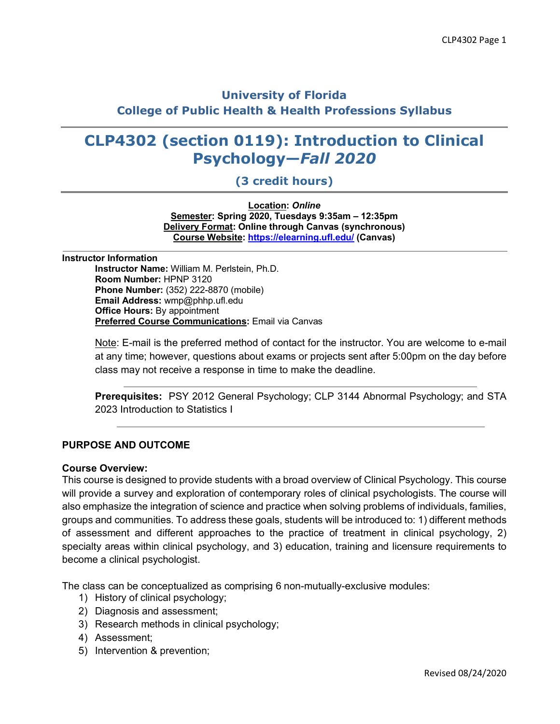# **University of Florida College of Public Health & Health Professions Syllabus**

# **CLP4302 (section 0119): Introduction to Clinical Psychology—***Fall 2020*

## **(3 credit hours)**

**Location:** *Online* **Semester: Spring 2020, Tuesdays 9:35am – 12:35pm Delivery Format: Online through Canvas (synchronous) Course Website: https://elearning.ufl.edu/ (Canvas)**

**Instructor Information Instructor Name:** William M. Perlstein, Ph.D. **Room Number:** HPNP 3120 **Phone Number:** (352) 222-8870 (mobile) **Email Address:** wmp@phhp.ufl.edu **Office Hours:** By appointment **Preferred Course Communications:** Email via Canvas

> Note: E-mail is the preferred method of contact for the instructor. You are welcome to e-mail at any time; however, questions about exams or projects sent after 5:00pm on the day before class may not receive a response in time to make the deadline.

> **Prerequisites:** PSY 2012 General Psychology; CLP 3144 Abnormal Psychology; and STA 2023 Introduction to Statistics I

### **PURPOSE AND OUTCOME**

#### **Course Overview:**

This course is designed to provide students with a broad overview of Clinical Psychology. This course will provide a survey and exploration of contemporary roles of clinical psychologists. The course will also emphasize the integration of science and practice when solving problems of individuals, families, groups and communities. To address these goals, students will be introduced to: 1) different methods of assessment and different approaches to the practice of treatment in clinical psychology, 2) specialty areas within clinical psychology, and 3) education, training and licensure requirements to become a clinical psychologist.

The class can be conceptualized as comprising 6 non-mutually-exclusive modules:

- 1) History of clinical psychology;
- 2) Diagnosis and assessment;
- 3) Research methods in clinical psychology;
- 4) Assessment;
- 5) Intervention & prevention;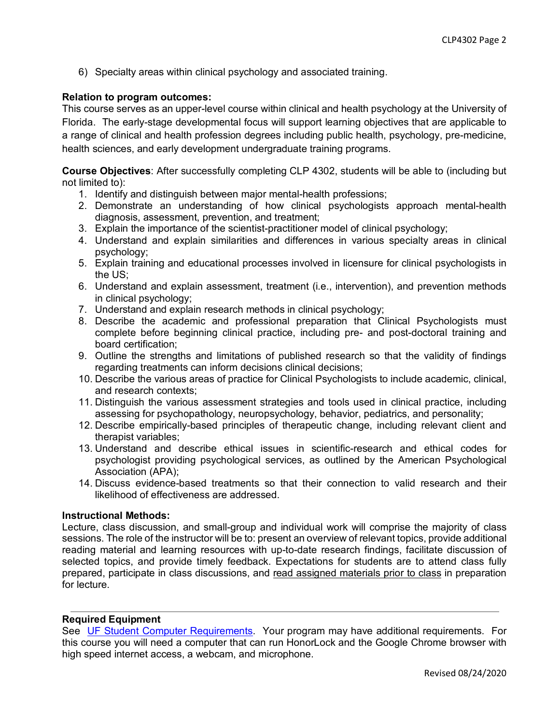6) Specialty areas within clinical psychology and associated training.

### **Relation to program outcomes:**

This course serves as an upper-level course within clinical and health psychology at the University of Florida. The early-stage developmental focus will support learning objectives that are applicable to a range of clinical and health profession degrees including public health, psychology, pre-medicine, health sciences, and early development undergraduate training programs.

**Course Objectives**: After successfully completing CLP 4302, students will be able to (including but not limited to):

- 1. Identify and distinguish between major mental-health professions;
- 2. Demonstrate an understanding of how clinical psychologists approach mental-health diagnosis, assessment, prevention, and treatment;
- 3. Explain the importance of the scientist-practitioner model of clinical psychology;
- 4. Understand and explain similarities and differences in various specialty areas in clinical psychology;
- 5. Explain training and educational processes involved in licensure for clinical psychologists in the US;
- 6. Understand and explain assessment, treatment (i.e., intervention), and prevention methods in clinical psychology;
- 7. Understand and explain research methods in clinical psychology;
- 8. Describe the academic and professional preparation that Clinical Psychologists must complete before beginning clinical practice, including pre- and post-doctoral training and board certification;
- 9. Outline the strengths and limitations of published research so that the validity of findings regarding treatments can inform decisions clinical decisions;
- 10. Describe the various areas of practice for Clinical Psychologists to include academic, clinical, and research contexts;
- 11. Distinguish the various assessment strategies and tools used in clinical practice, including assessing for psychopathology, neuropsychology, behavior, pediatrics, and personality;
- 12. Describe empirically-based principles of therapeutic change, including relevant client and therapist variables;
- 13. Understand and describe ethical issues in scientific-research and ethical codes for psychologist providing psychological services, as outlined by the American Psychological Association (APA);
- 14. Discuss evidence-based treatments so that their connection to valid research and their likelihood of effectiveness are addressed.

### **Instructional Methods:**

Lecture, class discussion, and small-group and individual work will comprise the majority of class sessions. The role of the instructor will be to: present an overview of relevant topics, provide additional reading material and learning resources with up-to-date research findings, facilitate discussion of selected topics, and provide timely feedback. Expectations for students are to attend class fully prepared, participate in class discussions, and read assigned materials prior to class in preparation for lecture.

### **Required Equipment**

See UF Student Computer Requirements. Your program may have additional requirements. For this course you will need a computer that can run HonorLock and the Google Chrome browser with high speed internet access, a webcam, and microphone.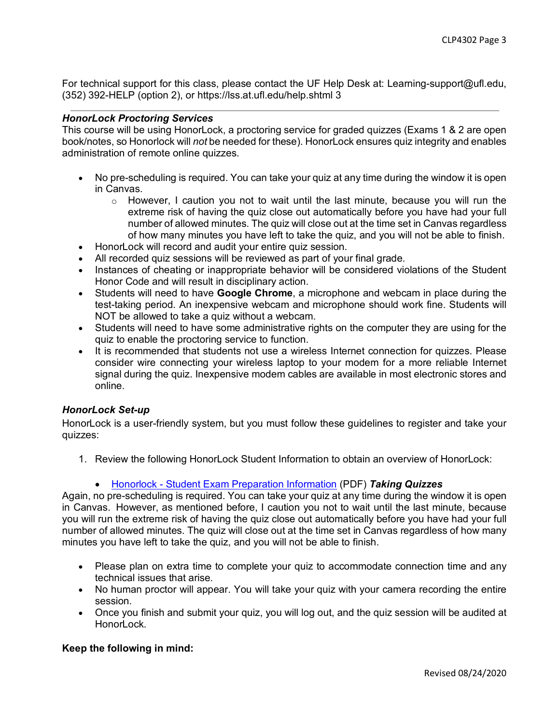For technical support for this class, please contact the UF Help Desk at: Learning-support@ufl.edu, (352) 392-HELP (option 2), or https://lss.at.ufl.edu/help.shtml 3

### *HonorLock Proctoring Services*

This course will be using HonorLock, a proctoring service for graded quizzes (Exams 1 & 2 are open book/notes, so Honorlock will *not* be needed for these). HonorLock ensures quiz integrity and enables administration of remote online quizzes.

- No pre-scheduling is required. You can take your quiz at any time during the window it is open in Canvas.
	- $\circ$  However, I caution you not to wait until the last minute, because you will run the extreme risk of having the quiz close out automatically before you have had your full number of allowed minutes. The quiz will close out at the time set in Canvas regardless of how many minutes you have left to take the quiz, and you will not be able to finish.
- HonorLock will record and audit your entire quiz session.
- All recorded quiz sessions will be reviewed as part of your final grade.
- Instances of cheating or inappropriate behavior will be considered violations of the Student Honor Code and will result in disciplinary action.
- Students will need to have **Google Chrome**, a microphone and webcam in place during the test-taking period. An inexpensive webcam and microphone should work fine. Students will NOT be allowed to take a quiz without a webcam.
- Students will need to have some administrative rights on the computer they are using for the quiz to enable the proctoring service to function.
- It is recommended that students not use a wireless Internet connection for quizzes. Please consider wire connecting your wireless laptop to your modem for a more reliable Internet signal during the quiz. Inexpensive modem cables are available in most electronic stores and online.

### *HonorLock Set-up*

HonorLock is a user-friendly system, but you must follow these guidelines to register and take your quizzes:

1. Review the following HonorLock Student Information to obtain an overview of HonorLock:

### • Honorlock - Student Exam Preparation Information (PDF) *Taking Quizzes*

Again, no pre-scheduling is required. You can take your quiz at any time during the window it is open in Canvas. However, as mentioned before, I caution you not to wait until the last minute, because you will run the extreme risk of having the quiz close out automatically before you have had your full number of allowed minutes. The quiz will close out at the time set in Canvas regardless of how many minutes you have left to take the quiz, and you will not be able to finish.

- Please plan on extra time to complete your quiz to accommodate connection time and any technical issues that arise.
- No human proctor will appear. You will take your quiz with your camera recording the entire session.
- Once you finish and submit your quiz, you will log out, and the quiz session will be audited at HonorLock.

### **Keep the following in mind:**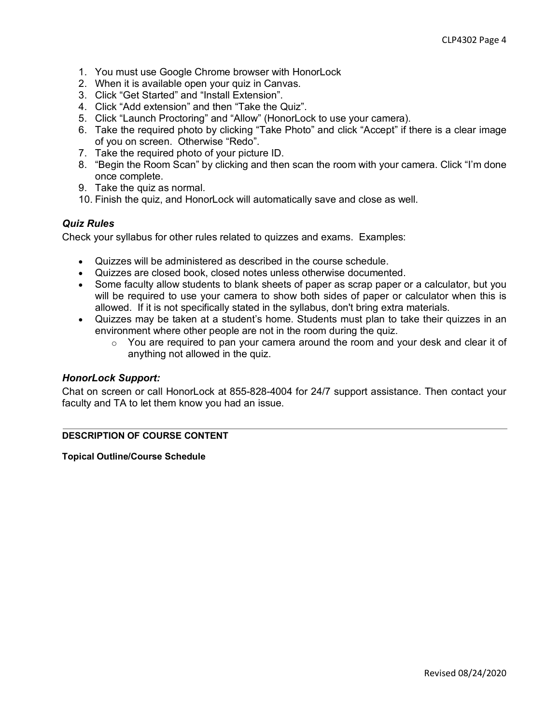- 1. You must use Google Chrome browser with HonorLock
- 2. When it is available open your quiz in Canvas.
- 3. Click "Get Started" and "Install Extension".
- 4. Click "Add extension" and then "Take the Quiz".
- 5. Click "Launch Proctoring" and "Allow" (HonorLock to use your camera).
- 6. Take the required photo by clicking "Take Photo" and click "Accept" if there is a clear image of you on screen. Otherwise "Redo".
- 7. Take the required photo of your picture ID.
- 8. "Begin the Room Scan" by clicking and then scan the room with your camera. Click "I'm done once complete.
- 9. Take the quiz as normal.
- 10. Finish the quiz, and HonorLock will automatically save and close as well.

### *Quiz Rules*

Check your syllabus for other rules related to quizzes and exams. Examples:

- Quizzes will be administered as described in the course schedule.
- Quizzes are closed book, closed notes unless otherwise documented.
- Some faculty allow students to blank sheets of paper as scrap paper or a calculator, but you will be required to use your camera to show both sides of paper or calculator when this is allowed. If it is not specifically stated in the syllabus, don't bring extra materials.
- Quizzes may be taken at a student's home. Students must plan to take their quizzes in an environment where other people are not in the room during the quiz.
	- o You are required to pan your camera around the room and your desk and clear it of anything not allowed in the quiz.

### *HonorLock Support:*

Chat on screen or call HonorLock at 855-828-4004 for 24/7 support assistance. Then contact your faculty and TA to let them know you had an issue.

### **DESCRIPTION OF COURSE CONTENT**

**Topical Outline/Course Schedule**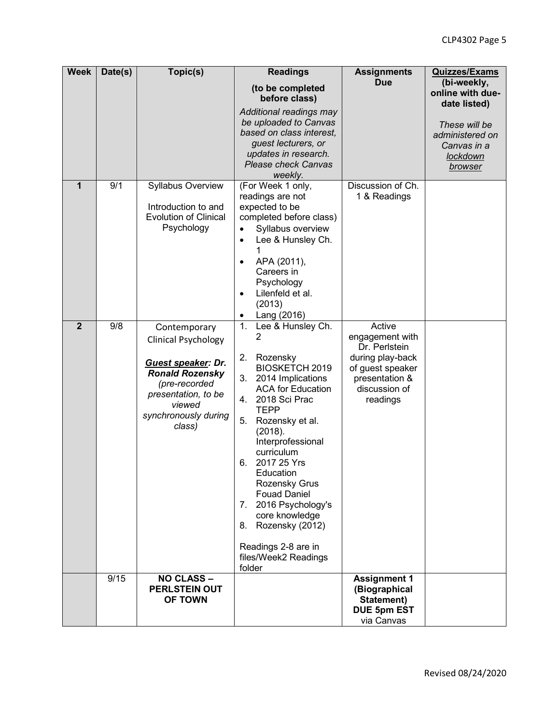| <b>Week</b>    | Date(s) | Topic(s)                                                                                                                                                                       | <b>Readings</b>                                                                                                                                                                                                                                                                                                                                                                                                                                   | <b>Assignments</b>                                                                                                                | <b>Quizzes/Exams</b>                                                                                 |
|----------------|---------|--------------------------------------------------------------------------------------------------------------------------------------------------------------------------------|---------------------------------------------------------------------------------------------------------------------------------------------------------------------------------------------------------------------------------------------------------------------------------------------------------------------------------------------------------------------------------------------------------------------------------------------------|-----------------------------------------------------------------------------------------------------------------------------------|------------------------------------------------------------------------------------------------------|
|                |         |                                                                                                                                                                                | (to be completed<br>before class)                                                                                                                                                                                                                                                                                                                                                                                                                 | <b>Due</b>                                                                                                                        | (bi-weekly,<br>online with due-                                                                      |
| 1              | 9/1     | <b>Syllabus Overview</b><br>Introduction to and<br><b>Evolution of Clinical</b><br>Psychology                                                                                  | Additional readings may<br>be uploaded to Canvas<br>based on class interest,<br>guest lecturers, or<br>updates in research.<br><b>Please check Canvas</b><br>weekly.<br>(For Week 1 only,<br>readings are not<br>expected to be<br>completed before class)<br>Syllabus overview<br>$\bullet$<br>Lee & Hunsley Ch.<br>$\bullet$<br>APA (2011),<br>$\bullet$<br>Careers in<br>Psychology<br>Lilenfeld et al.<br>$\bullet$                           | Discussion of Ch.<br>1 & Readings                                                                                                 | date listed)<br>These will be<br>administered on<br>Canvas in a<br><b>lockdown</b><br><b>browser</b> |
|                |         |                                                                                                                                                                                | (2013)<br>Lang (2016)<br>٠                                                                                                                                                                                                                                                                                                                                                                                                                        |                                                                                                                                   |                                                                                                      |
| $\overline{2}$ | 9/8     | Contemporary<br><b>Clinical Psychology</b><br>Guest speaker: Dr.<br><b>Ronald Rozensky</b><br>(pre-recorded<br>presentation, to be<br>viewed<br>synchronously during<br>class) | 1.<br>Lee & Hunsley Ch.<br>2<br>2.<br>Rozensky<br><b>BIOSKETCH 2019</b><br>3.<br>2014 Implications<br><b>ACA for Education</b><br>2018 Sci Prac<br>4.<br><b>TEPP</b><br>5.<br>Rozensky et al.<br>(2018).<br>Interprofessional<br>curriculum<br>2017 25 Yrs<br>6.<br>Education<br>Rozensky Grus<br><b>Fouad Daniel</b><br>7. 2016 Psychology's<br>core knowledge<br>Rozensky (2012)<br>8.<br>Readings 2-8 are in<br>files/Week2 Readings<br>folder | Active<br>engagement with<br>Dr. Perlstein<br>during play-back<br>of guest speaker<br>presentation &<br>discussion of<br>readings |                                                                                                      |
|                | 9/15    | <b>NO CLASS -</b><br><b>PERLSTEIN OUT</b><br><b>OF TOWN</b>                                                                                                                    |                                                                                                                                                                                                                                                                                                                                                                                                                                                   | <b>Assignment 1</b><br>(Biographical<br>Statement)<br><b>DUE 5pm EST</b><br>via Canvas                                            |                                                                                                      |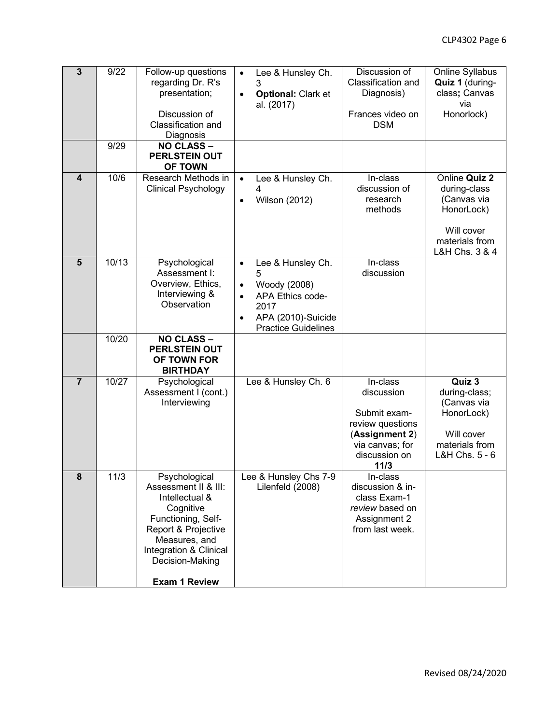| $\overline{3}$ | 9/22  | Follow-up questions<br>regarding Dr. R's<br>presentation;<br>Discussion of<br>Classification and<br>Diagnosis                                                                                           | Lee & Hunsley Ch.<br>$\bullet$<br>3<br><b>Optional: Clark et</b><br>$\bullet$<br>al. (2017)                                                                               | Discussion of<br>Classification and<br>Diagnosis)<br>Frances video on<br><b>DSM</b>                                      | Online Syllabus<br>Quiz 1 (during-<br>class; Canvas<br>via<br>Honorlock)                                     |
|----------------|-------|---------------------------------------------------------------------------------------------------------------------------------------------------------------------------------------------------------|---------------------------------------------------------------------------------------------------------------------------------------------------------------------------|--------------------------------------------------------------------------------------------------------------------------|--------------------------------------------------------------------------------------------------------------|
|                | 9/29  | <b>NO CLASS -</b><br><b>PERLSTEIN OUT</b><br><b>OF TOWN</b>                                                                                                                                             |                                                                                                                                                                           |                                                                                                                          |                                                                                                              |
| 4              | 10/6  | Research Methods in<br><b>Clinical Psychology</b>                                                                                                                                                       | Lee & Hunsley Ch.<br>$\bullet$<br>4<br><b>Wilson (2012)</b><br>$\bullet$                                                                                                  | In-class<br>discussion of<br>research<br>methods                                                                         | Online Quiz 2<br>during-class<br>(Canvas via<br>HonorLock)<br>Will cover<br>materials from<br>L&H Chs. 3 & 4 |
| $5\phantom{1}$ | 10/13 | Psychological<br>Assessment I:<br>Overview, Ethics,<br>Interviewing &<br>Observation                                                                                                                    | Lee & Hunsley Ch.<br>$\bullet$<br>5<br>Woody (2008)<br>٠<br><b>APA Ethics code-</b><br>$\bullet$<br>2017<br>APA (2010)-Suicide<br>$\bullet$<br><b>Practice Guidelines</b> | In-class<br>discussion                                                                                                   |                                                                                                              |
|                | 10/20 | <b>NO CLASS -</b><br><b>PERLSTEIN OUT</b><br>OF TOWN FOR<br><b>BIRTHDAY</b>                                                                                                                             |                                                                                                                                                                           |                                                                                                                          |                                                                                                              |
| $\overline{7}$ | 10/27 | Psychological<br>Assessment I (cont.)<br>Interviewing                                                                                                                                                   | Lee & Hunsley Ch. 6                                                                                                                                                       | In-class<br>discussion<br>Submit exam-<br>review questions<br>(Assignment 2)<br>via canvas; for<br>discussion on<br>11/3 | Quiz 3<br>during-class;<br>(Canvas via<br>HonorLock)<br>Will cover<br>materials from<br>L&H Chs. 5 - 6       |
| ୪              | 11/3  | Psychological<br>Assessment II & III:<br>Intellectual &<br>Cognitive<br>Functioning, Self-<br>Report & Projective<br>Measures, and<br>Integration & Clinical<br>Decision-Making<br><b>Exam 1 Review</b> | Lee & Hunsley Chs 7-9<br>Lilenfeld (2008)                                                                                                                                 | In-class<br>discussion & in-<br>class Exam-1<br>review based on<br>Assignment 2<br>from last week.                       |                                                                                                              |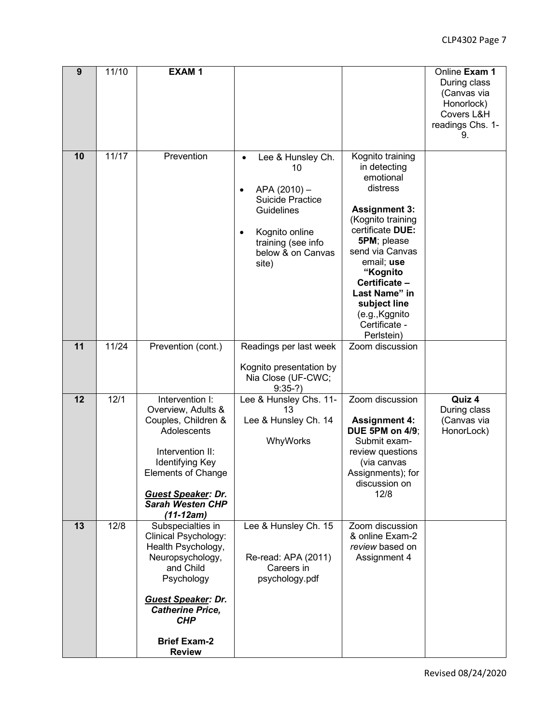| 9               | 11/10 | <b>EXAM1</b>                                                                                                                                                                                                                 |                                                                                                                                                                                       |                                                                                                                                                                                                                                                                                           | Online Exam 1<br>During class<br>(Canvas via<br>Honorlock)<br>Covers L&H<br>readings Chs. 1-<br>9. |
|-----------------|-------|------------------------------------------------------------------------------------------------------------------------------------------------------------------------------------------------------------------------------|---------------------------------------------------------------------------------------------------------------------------------------------------------------------------------------|-------------------------------------------------------------------------------------------------------------------------------------------------------------------------------------------------------------------------------------------------------------------------------------------|----------------------------------------------------------------------------------------------------|
| 10              | 11/17 | Prevention                                                                                                                                                                                                                   | Lee & Hunsley Ch.<br>$\bullet$<br>10<br>APA (2010) -<br>٠<br><b>Suicide Practice</b><br>Guidelines<br>Kognito online<br>$\bullet$<br>training (see info<br>below & on Canvas<br>site) | Kognito training<br>in detecting<br>emotional<br>distress<br><b>Assignment 3:</b><br>(Kognito training<br>certificate DUE:<br>5PM; please<br>send via Canvas<br>email; use<br>"Kognito<br>Certificate -<br>Last Name" in<br>subject line<br>(e.g., Kggnito<br>Certificate -<br>Perlstein) |                                                                                                    |
| 11              | 11/24 | Prevention (cont.)                                                                                                                                                                                                           | Readings per last week<br>Kognito presentation by<br>Nia Close (UF-CWC;<br>$9:35-?$                                                                                                   | Zoom discussion                                                                                                                                                                                                                                                                           |                                                                                                    |
| $\overline{12}$ | 12/1  | Intervention I:<br>Overview, Adults &<br>Couples, Children &<br>Adolescents<br>Intervention II:<br>Identifying Key<br><b>Elements of Change</b><br><b>Guest Speaker: Dr.</b><br><b>Sarah Westen CHP</b><br>$(11-12am)$       | Lee & Hunsley Chs. 11-<br>13<br>Lee & Hunsley Ch. 14<br>WhyWorks                                                                                                                      | Zoom discussion<br><b>Assignment 4:</b><br><b>DUE 5PM on 4/9:</b><br>Submit exam-<br>review questions<br>(via canvas<br>Assignments); for<br>discussion on<br>12/8                                                                                                                        | Quiz 4<br>During class<br>(Canvas via<br>HonorLock)                                                |
| 13              | 12/8  | Subspecialties in<br>Clinical Psychology:<br>Health Psychology,<br>Neuropsychology,<br>and Child<br>Psychology<br><b>Guest Speaker: Dr.</b><br><b>Catherine Price,</b><br><b>CHP</b><br><b>Brief Exam-2</b><br><b>Review</b> | Lee & Hunsley Ch. 15<br>Re-read: APA (2011)<br>Careers in<br>psychology.pdf                                                                                                           | Zoom discussion<br>& online Exam-2<br>review based on<br>Assignment 4                                                                                                                                                                                                                     |                                                                                                    |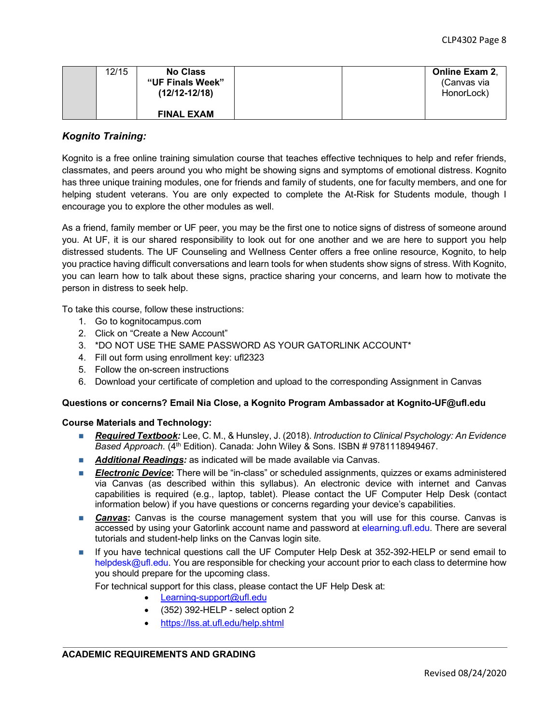| 12/15 | <b>No Class</b><br>"UF Finals Week"<br>$(12/12-12/18)$ | <b>Online Exam 2.</b><br>(Canvas via<br>HonorLock) |  |
|-------|--------------------------------------------------------|----------------------------------------------------|--|
|       | <b>FINAL EXAM</b>                                      |                                                    |  |

### *Kognito Training:*

Kognito is a free online training simulation course that teaches effective techniques to help and refer friends, classmates, and peers around you who might be showing signs and symptoms of emotional distress. Kognito has three unique training modules, one for friends and family of students, one for faculty members, and one for helping student veterans. You are only expected to complete the At-Risk for Students module, though I encourage you to explore the other modules as well.

As a friend, family member or UF peer, you may be the first one to notice signs of distress of someone around you. At UF, it is our shared responsibility to look out for one another and we are here to support you help distressed students. The UF Counseling and Wellness Center offers a free online resource, Kognito, to help you practice having difficult conversations and learn tools for when students show signs of stress. With Kognito, you can learn how to talk about these signs, practice sharing your concerns, and learn how to motivate the person in distress to seek help.

To take this course, follow these instructions:

- 1. Go to kognitocampus.com
- 2. Click on "Create a New Account"
- 3. \*DO NOT USE THE SAME PASSWORD AS YOUR GATORLINK ACCOUNT\*
- 4. Fill out form using enrollment key: ufl2323
- 5. Follow the on-screen instructions
- 6. Download your certificate of completion and upload to the corresponding Assignment in Canvas

#### **Questions or concerns? Email Nia Close, a Kognito Program Ambassador at Kognito-UF@ufl.edu**

#### **Course Materials and Technology:**

- *Required Textbook:* Lee, C. M., & Hunsley, J. (2018). *Introduction to Clinical Psychology: An Evidence Based Approach*. (4th Edition). Canada: John Wiley & Sons. ISBN # 9781118949467.
- **Additional Readings:** as indicated will be made available via Canvas.
- n *Electronic Device***:** There will be "in-class" or scheduled assignments, quizzes or exams administered via Canvas (as described within this syllabus). An electronic device with internet and Canvas capabilities is required (e.g., laptop, tablet). Please contact the UF Computer Help Desk (contact information below) if you have questions or concerns regarding your device's capabilities.
- **Canvas:** Canvas is the course management system that you will use for this course. Canvas is accessed by using your Gatorlink account name and password at elearning.ufl.edu. There are several tutorials and student-help links on the Canvas login site.
- n If you have technical questions call the UF Computer Help Desk at 352-392-HELP or send email to helpdesk@ufl.edu. You are responsible for checking your account prior to each class to determine how you should prepare for the upcoming class.

For technical support for this class, please contact the UF Help Desk at:

- Learning-support@ufl.edu
- (352) 392-HELP select option 2
- https://lss.at.ufl.edu/help.shtml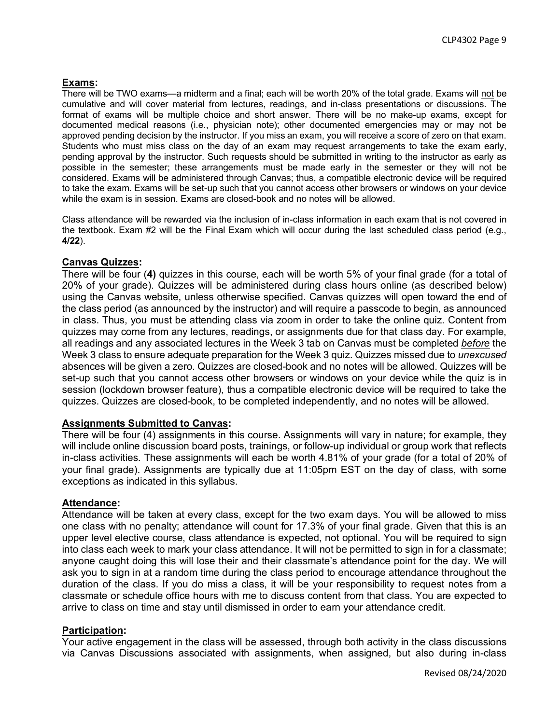### **Exams:**

There will be TWO exams—a midterm and a final; each will be worth 20% of the total grade. Exams will not be cumulative and will cover material from lectures, readings, and in-class presentations or discussions. The format of exams will be multiple choice and short answer. There will be no make-up exams, except for documented medical reasons (i.e., physician note); other documented emergencies may or may not be approved pending decision by the instructor. If you miss an exam, you will receive a score of zero on that exam. Students who must miss class on the day of an exam may request arrangements to take the exam early, pending approval by the instructor. Such requests should be submitted in writing to the instructor as early as possible in the semester; these arrangements must be made early in the semester or they will not be considered. Exams will be administered through Canvas; thus, a compatible electronic device will be required to take the exam. Exams will be set-up such that you cannot access other browsers or windows on your device while the exam is in session. Exams are closed-book and no notes will be allowed.

Class attendance will be rewarded via the inclusion of in-class information in each exam that is not covered in the textbook. Exam #2 will be the Final Exam which will occur during the last scheduled class period (e.g., **4/22**).

### **Canvas Quizzes:**

There will be four (**4)** quizzes in this course, each will be worth 5% of your final grade (for a total of 20% of your grade). Quizzes will be administered during class hours online (as described below) using the Canvas website, unless otherwise specified. Canvas quizzes will open toward the end of the class period (as announced by the instructor) and will require a passcode to begin, as announced in class. Thus, you must be attending class via zoom in order to take the online quiz. Content from quizzes may come from any lectures, readings, or assignments due for that class day. For example, all readings and any associated lectures in the Week 3 tab on Canvas must be completed *before* the Week 3 class to ensure adequate preparation for the Week 3 quiz. Quizzes missed due to *unexcused* absences will be given a zero. Quizzes are closed-book and no notes will be allowed. Quizzes will be set-up such that you cannot access other browsers or windows on your device while the quiz is in session (lockdown browser feature), thus a compatible electronic device will be required to take the quizzes. Quizzes are closed-book, to be completed independently, and no notes will be allowed.

### **Assignments Submitted to Canvas:**

There will be four (4) assignments in this course. Assignments will vary in nature; for example, they will include online discussion board posts, trainings, or follow-up individual or group work that reflects in-class activities. These assignments will each be worth 4.81% of your grade (for a total of 20% of your final grade). Assignments are typically due at 11:05pm EST on the day of class, with some exceptions as indicated in this syllabus.

### **Attendance:**

Attendance will be taken at every class, except for the two exam days. You will be allowed to miss one class with no penalty; attendance will count for 17.3% of your final grade. Given that this is an upper level elective course, class attendance is expected, not optional. You will be required to sign into class each week to mark your class attendance. It will not be permitted to sign in for a classmate; anyone caught doing this will lose their and their classmate's attendance point for the day. We will ask you to sign in at a random time during the class period to encourage attendance throughout the duration of the class. If you do miss a class, it will be your responsibility to request notes from a classmate or schedule office hours with me to discuss content from that class. You are expected to arrive to class on time and stay until dismissed in order to earn your attendance credit.

### **Participation:**

Your active engagement in the class will be assessed, through both activity in the class discussions via Canvas Discussions associated with assignments, when assigned, but also during in-class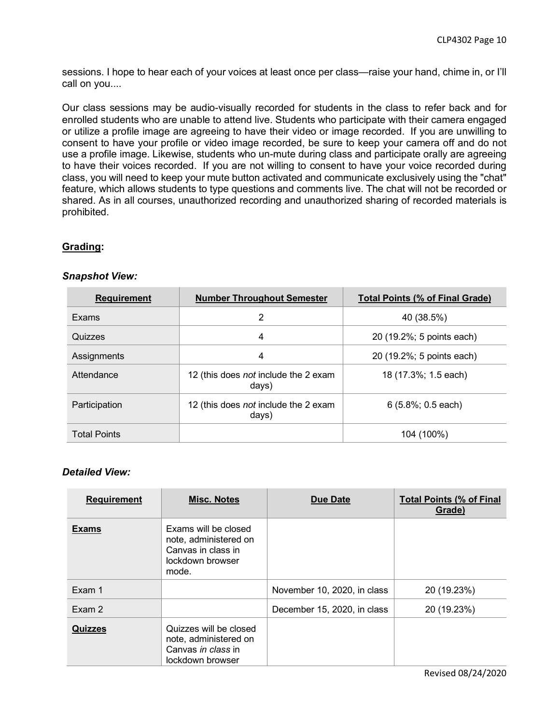sessions. I hope to hear each of your voices at least once per class—raise your hand, chime in, or I'll call on you....

Our class sessions may be audio-visually recorded for students in the class to refer back and for enrolled students who are unable to attend live. Students who participate with their camera engaged or utilize a profile image are agreeing to have their video or image recorded. If you are unwilling to consent to have your profile or video image recorded, be sure to keep your camera off and do not use a profile image. Likewise, students who un-mute during class and participate orally are agreeing to have their voices recorded. If you are not willing to consent to have your voice recorded during class, you will need to keep your mute button activated and communicate exclusively using the "chat" feature, which allows students to type questions and comments live. The chat will not be recorded or shared. As in all courses, unauthorized recording and unauthorized sharing of recorded materials is prohibited.

### **Grading:**

| <b>Requirement</b>  | <b>Number Throughout Semester</b>             | <b>Total Points (% of Final Grade)</b> |
|---------------------|-----------------------------------------------|----------------------------------------|
| Exams               | 2                                             | 40 (38.5%)                             |
| Quizzes             | 4                                             | 20 (19.2%; 5 points each)              |
| Assignments         | 4                                             | 20 (19.2%; 5 points each)              |
| Attendance          | 12 (this does not include the 2 exam<br>days) | 18 (17.3%; 1.5 each)                   |
| Participation       | 12 (this does not include the 2 exam<br>days) | $6(5.8\%; 0.5$ each)                   |
| <b>Total Points</b> |                                               | 104 (100%)                             |

### *Snapshot View:*

### *Detailed View:*

| <b>Requirement</b> | <b>Misc. Notes</b>                                                                               | <b>Due Date</b>             | <b>Total Points (% of Final</b><br>Grade) |
|--------------------|--------------------------------------------------------------------------------------------------|-----------------------------|-------------------------------------------|
| <b>Exams</b>       | Exams will be closed<br>note, administered on<br>Canvas in class in<br>lockdown browser<br>mode. |                             |                                           |
| Exam 1             |                                                                                                  | November 10, 2020, in class | 20 (19.23%)                               |
| Exam 2             |                                                                                                  | December 15, 2020, in class | 20 (19.23%)                               |
| <b>Quizzes</b>     | Quizzes will be closed<br>note, administered on<br>Canvas in class in<br>lockdown browser        |                             |                                           |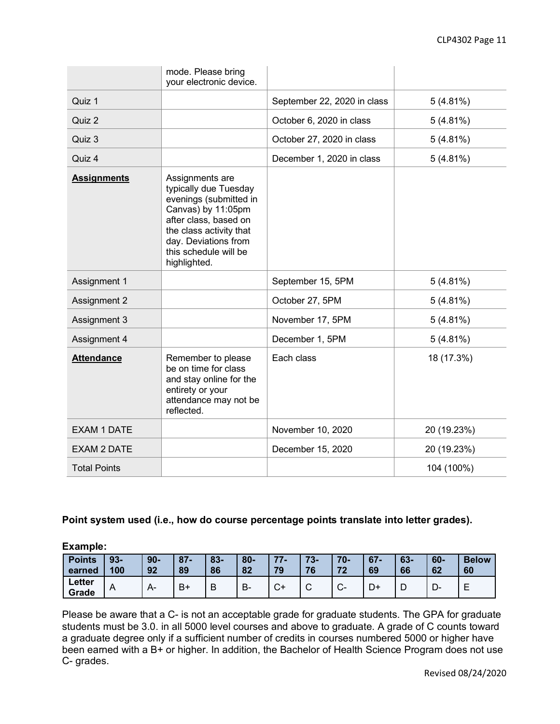|                     | mode. Please bring<br>your electronic device.                                                                                                                                                                 |                             |             |
|---------------------|---------------------------------------------------------------------------------------------------------------------------------------------------------------------------------------------------------------|-----------------------------|-------------|
| Quiz 1              |                                                                                                                                                                                                               | September 22, 2020 in class | 5(4.81%)    |
| Quiz 2              |                                                                                                                                                                                                               | October 6, 2020 in class    | $5(4.81\%)$ |
| Quiz 3              |                                                                                                                                                                                                               | October 27, 2020 in class   | $5(4.81\%)$ |
| Quiz 4              |                                                                                                                                                                                                               | December 1, 2020 in class   | 5(4.81%)    |
| <b>Assignments</b>  | Assignments are<br>typically due Tuesday<br>evenings (submitted in<br>Canvas) by 11:05pm<br>after class, based on<br>the class activity that<br>day. Deviations from<br>this schedule will be<br>highlighted. |                             |             |
| Assignment 1        |                                                                                                                                                                                                               | September 15, 5PM           | 5(4.81%)    |
| Assignment 2        |                                                                                                                                                                                                               | October 27, 5PM             | $5(4.81\%)$ |
| Assignment 3        |                                                                                                                                                                                                               | November 17, 5PM            | $5(4.81\%)$ |
| Assignment 4        |                                                                                                                                                                                                               | December 1, 5PM             | $5(4.81\%)$ |
| <b>Attendance</b>   | Remember to please<br>be on time for class<br>and stay online for the<br>entirety or your<br>attendance may not be<br>reflected.                                                                              | Each class                  | 18 (17.3%)  |
| <b>EXAM 1 DATE</b>  |                                                                                                                                                                                                               | November 10, 2020           | 20 (19.23%) |
| <b>EXAM 2 DATE</b>  |                                                                                                                                                                                                               | December 15, 2020           | 20 (19.23%) |
| <b>Total Points</b> |                                                                                                                                                                                                               |                             | 104 (100%)  |

### **Point system used (i.e., how do course percentage points translate into letter grades).**

**Example:**

| <b>Points</b><br>earned | $93 -$<br>100 | $90 -$<br>92 | $87 -$<br>89 | 83-<br>86 | $80 -$<br>82 | 77<br>- 1<br>79                     | フつ<br>. J.<br>76 | $70-$<br>70<br>72 | $67 -$<br>69 | $63 -$<br>66 | $60 -$<br>62 | <b>Below</b><br>60 |
|-------------------------|---------------|--------------|--------------|-----------|--------------|-------------------------------------|------------------|-------------------|--------------|--------------|--------------|--------------------|
| Letter<br>Grade         | A             | $\mathsf{A}$ | $B+$         | R<br>◡    | <b>B-</b>    | $\sim$<br>$\mathbf{v}^{\mathsf{r}}$ | $\sim$<br>ັ      | v                 | D+           | ◡            | D<br>⊃-      | –                  |

Please be aware that a C- is not an acceptable grade for graduate students. The GPA for graduate students must be 3.0. in all 5000 level courses and above to graduate. A grade of C counts toward a graduate degree only if a sufficient number of credits in courses numbered 5000 or higher have been earned with a B+ or higher. In addition, the Bachelor of Health Science Program does not use C- grades.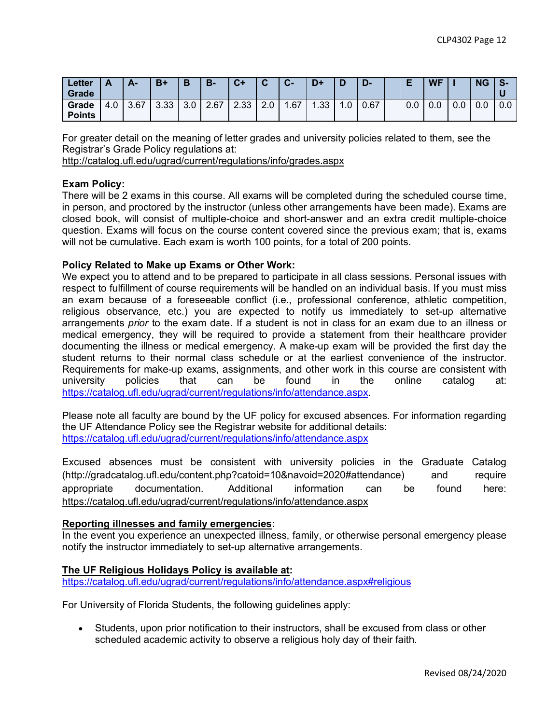| ∟etter<br><b>Grade</b> |     | Δ.   | $B+$         | B                | <b>B-</b> | $C+$ | $\sim$<br>ີ | $\sim$<br>$\mathbf{A}$ | D+               |     | D-   |     | <b>WF</b> |     | <b>NG</b> | $\bullet$<br>.১ |
|------------------------|-----|------|--------------|------------------|-----------|------|-------------|------------------------|------------------|-----|------|-----|-----------|-----|-----------|-----------------|
| Grade<br><b>Points</b> | 4.0 | 3.67 | າ າາ<br>ა.აა | 3.0 <sub>1</sub> | 2.67      | 2.33 | 2.0         | .67                    | .33 <sub>1</sub> | ۱.٥ | 0.67 | 0.0 | 0.0       | 0.0 | 0.0       | 0.0             |

For greater detail on the meaning of letter grades and university policies related to them, see the Registrar's Grade Policy regulations at:

http://catalog.ufl.edu/ugrad/current/regulations/info/grades.aspx

### **Exam Policy:**

There will be 2 exams in this course. All exams will be completed during the scheduled course time, in person, and proctored by the instructor (unless other arrangements have been made). Exams are closed book, will consist of multiple-choice and short-answer and an extra credit multiple-choice question. Exams will focus on the course content covered since the previous exam; that is, exams will not be cumulative. Each exam is worth 100 points, for a total of 200 points.

#### **Policy Related to Make up Exams or Other Work:**

We expect you to attend and to be prepared to participate in all class sessions. Personal issues with respect to fulfillment of course requirements will be handled on an individual basis. If you must miss an exam because of a foreseeable conflict (i.e., professional conference, athletic competition, religious observance, etc.) you are expected to notify us immediately to set-up alternative arrangements *prior* to the exam date. If a student is not in class for an exam due to an illness or medical emergency, they will be required to provide a statement from their healthcare provider documenting the illness or medical emergency. A make-up exam will be provided the first day the student returns to their normal class schedule or at the earliest convenience of the instructor. Requirements for make-up exams, assignments, and other work in this course are consistent with university policies that can be found in the online catalog at: https://catalog.ufl.edu/ugrad/current/regulations/info/attendance.aspx.

Please note all faculty are bound by the UF policy for excused absences. For information regarding the UF Attendance Policy see the Registrar website for additional details: https://catalog.ufl.edu/ugrad/current/regulations/info/attendance.aspx

Excused absences must be consistent with university policies in the Graduate Catalog (http://gradcatalog.ufl.edu/content.php?catoid=10&navoid=2020#attendance) and require appropriate documentation. Additional information can be found here: https://catalog.ufl.edu/ugrad/current/regulations/info/attendance.aspx

### **Reporting illnesses and family emergencies:**

In the event you experience an unexpected illness, family, or otherwise personal emergency please notify the instructor immediately to set-up alternative arrangements.

### **The UF Religious Holidays Policy is available at:**

https://catalog.ufl.edu/ugrad/current/regulations/info/attendance.aspx#religious

For University of Florida Students, the following guidelines apply:

• Students, upon prior notification to their instructors, shall be excused from class or other scheduled academic activity to observe a religious holy day of their faith.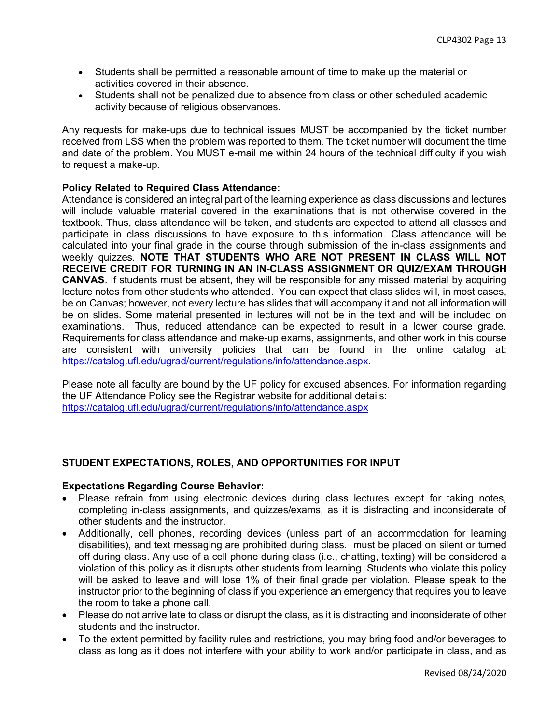- Students shall be permitted a reasonable amount of time to make up the material or activities covered in their absence.
- Students shall not be penalized due to absence from class or other scheduled academic activity because of religious observances.

Any requests for make-ups due to technical issues MUST be accompanied by the ticket number received from LSS when the problem was reported to them. The ticket number will document the time and date of the problem. You MUST e-mail me within 24 hours of the technical difficulty if you wish to request a make-up.

### **Policy Related to Required Class Attendance:**

Attendance is considered an integral part of the learning experience as class discussions and lectures will include valuable material covered in the examinations that is not otherwise covered in the textbook. Thus, class attendance will be taken, and students are expected to attend all classes and participate in class discussions to have exposure to this information. Class attendance will be calculated into your final grade in the course through submission of the in-class assignments and weekly quizzes. **NOTE THAT STUDENTS WHO ARE NOT PRESENT IN CLASS WILL NOT RECEIVE CREDIT FOR TURNING IN AN IN-CLASS ASSIGNMENT OR QUIZ/EXAM THROUGH CANVAS**. If students must be absent, they will be responsible for any missed material by acquiring lecture notes from other students who attended. You can expect that class slides will, in most cases, be on Canvas; however, not every lecture has slides that will accompany it and not all information will be on slides. Some material presented in lectures will not be in the text and will be included on examinations. Thus, reduced attendance can be expected to result in a lower course grade. Requirements for class attendance and make-up exams, assignments, and other work in this course are consistent with university policies that can be found in the online catalog at: https://catalog.ufl.edu/ugrad/current/regulations/info/attendance.aspx.

Please note all faculty are bound by the UF policy for excused absences. For information regarding the UF Attendance Policy see the Registrar website for additional details: https://catalog.ufl.edu/ugrad/current/regulations/info/attendance.aspx

### **STUDENT EXPECTATIONS, ROLES, AND OPPORTUNITIES FOR INPUT**

### **Expectations Regarding Course Behavior:**

- Please refrain from using electronic devices during class lectures except for taking notes, completing in-class assignments, and quizzes/exams, as it is distracting and inconsiderate of other students and the instructor.
- Additionally, cell phones, recording devices (unless part of an accommodation for learning disabilities), and text messaging are prohibited during class. must be placed on silent or turned off during class. Any use of a cell phone during class (i.e., chatting, texting) will be considered a violation of this policy as it disrupts other students from learning. Students who violate this policy will be asked to leave and will lose 1% of their final grade per violation. Please speak to the instructor prior to the beginning of class if you experience an emergency that requires you to leave the room to take a phone call.
- Please do not arrive late to class or disrupt the class, as it is distracting and inconsiderate of other students and the instructor.
- To the extent permitted by facility rules and restrictions, you may bring food and/or beverages to class as long as it does not interfere with your ability to work and/or participate in class, and as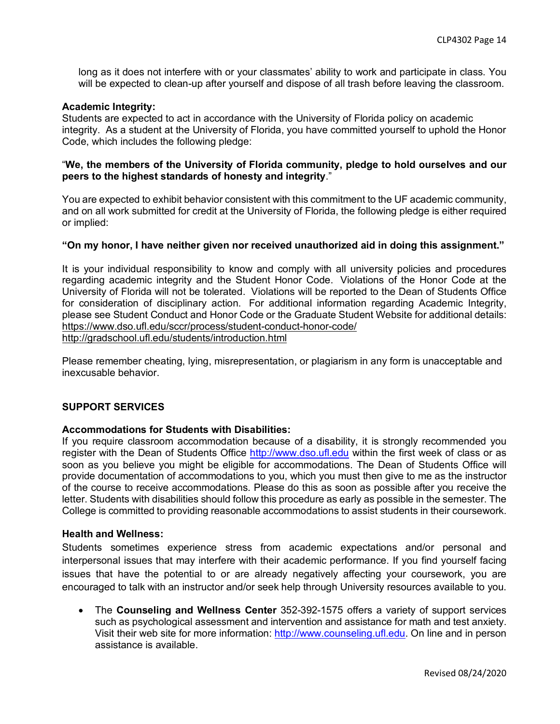long as it does not interfere with or your classmates' ability to work and participate in class. You will be expected to clean-up after yourself and dispose of all trash before leaving the classroom.

#### **Academic Integrity:**

Students are expected to act in accordance with the University of Florida policy on academic integrity. As a student at the University of Florida, you have committed yourself to uphold the Honor Code, which includes the following pledge:

### "**We, the members of the University of Florida community, pledge to hold ourselves and our peers to the highest standards of honesty and integrity**."

You are expected to exhibit behavior consistent with this commitment to the UF academic community, and on all work submitted for credit at the University of Florida, the following pledge is either required or implied:

### **"On my honor, I have neither given nor received unauthorized aid in doing this assignment."**

It is your individual responsibility to know and comply with all university policies and procedures regarding academic integrity and the Student Honor Code. Violations of the Honor Code at the University of Florida will not be tolerated. Violations will be reported to the Dean of Students Office for consideration of disciplinary action. For additional information regarding Academic Integrity, please see Student Conduct and Honor Code or the Graduate Student Website for additional details: https://www.dso.ufl.edu/sccr/process/student-conduct-honor-code/

http://gradschool.ufl.edu/students/introduction.html

Please remember cheating, lying, misrepresentation, or plagiarism in any form is unacceptable and inexcusable behavior.

### **SUPPORT SERVICES**

#### **Accommodations for Students with Disabilities:**

If you require classroom accommodation because of a disability, it is strongly recommended you register with the Dean of Students Office http://www.dso.ufl.edu within the first week of class or as soon as you believe you might be eligible for accommodations. The Dean of Students Office will provide documentation of accommodations to you, which you must then give to me as the instructor of the course to receive accommodations. Please do this as soon as possible after you receive the letter. Students with disabilities should follow this procedure as early as possible in the semester. The College is committed to providing reasonable accommodations to assist students in their coursework.

#### **Health and Wellness:**

Students sometimes experience stress from academic expectations and/or personal and interpersonal issues that may interfere with their academic performance. If you find yourself facing issues that have the potential to or are already negatively affecting your coursework, you are encouraged to talk with an instructor and/or seek help through University resources available to you.

• The **Counseling and Wellness Center** 352-392-1575 offers a variety of support services such as psychological assessment and intervention and assistance for math and test anxiety. Visit their web site for more information: http://www.counseling.ufl.edu. On line and in person assistance is available.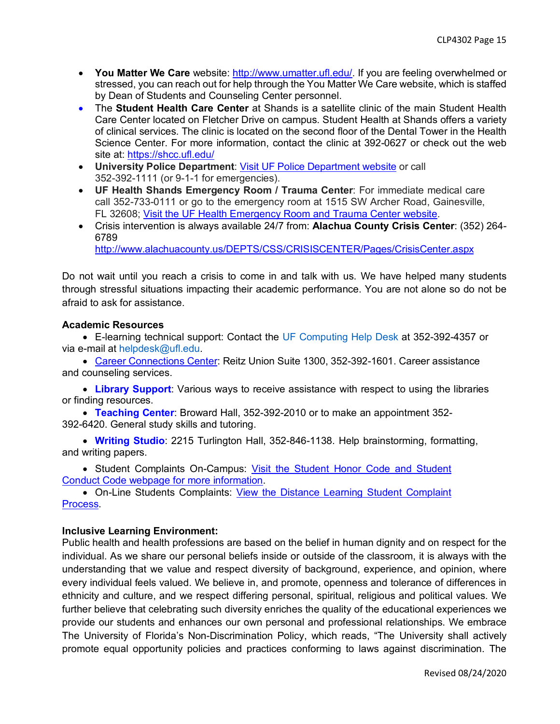- **You Matter We Care** website: http://www.umatter.ufl.edu/. If you are feeling overwhelmed or stressed, you can reach out for help through the You Matter We Care website, which is staffed by Dean of Students and Counseling Center personnel.
- The **Student Health Care Center** at Shands is a satellite clinic of the main Student Health Care Center located on Fletcher Drive on campus. Student Health at Shands offers a variety of clinical services. The clinic is located on the second floor of the Dental Tower in the Health Science Center. For more information, contact the clinic at 392-0627 or check out the web site at: https://shcc.ufl.edu/
- **University Police Department**: Visit UF Police Department website or call 352-392-1111 (or 9-1-1 for emergencies).
- **UF Health Shands Emergency Room / Trauma Center**: For immediate medical care call 352-733-0111 or go to the emergency room at 1515 SW Archer Road, Gainesville, FL 32608; Visit the UF Health Emergency Room and Trauma Center website.
- Crisis intervention is always available 24/7 from: **Alachua County Crisis Center**: (352) 264- 6789

http://www.alachuacounty.us/DEPTS/CSS/CRISISCENTER/Pages/CrisisCenter.aspx

Do not wait until you reach a crisis to come in and talk with us. We have helped many students through stressful situations impacting their academic performance. You are not alone so do not be afraid to ask for assistance.

### **Academic Resources**

• E-learning technical support: Contact the UF Computing Help Desk at 352-392-4357 or via e-mail at helpdesk@ufl.edu.

• Career Connections Center: Reitz Union Suite 1300, 352-392-1601. Career assistance and counseling services.

• **Library Support**: Various ways to receive assistance with respect to using the libraries or finding resources.

• **Teaching Center**: Broward Hall, 352-392-2010 or to make an appointment 352- 392-6420. General study skills and tutoring.

• **Writing Studio**: 2215 Turlington Hall, 352-846-1138. Help brainstorming, formatting, and writing papers.

• Student Complaints On-Campus: Visit the Student Honor Code and Student Conduct Code webpage for more information.

• On-Line Students Complaints: View the Distance Learning Student Complaint Process.

### **Inclusive Learning Environment:**

Public health and health professions are based on the belief in human dignity and on respect for the individual. As we share our personal beliefs inside or outside of the classroom, it is always with the understanding that we value and respect diversity of background, experience, and opinion, where every individual feels valued. We believe in, and promote, openness and tolerance of differences in ethnicity and culture, and we respect differing personal, spiritual, religious and political values. We further believe that celebrating such diversity enriches the quality of the educational experiences we provide our students and enhances our own personal and professional relationships. We embrace The University of Florida's Non-Discrimination Policy, which reads, "The University shall actively promote equal opportunity policies and practices conforming to laws against discrimination. The